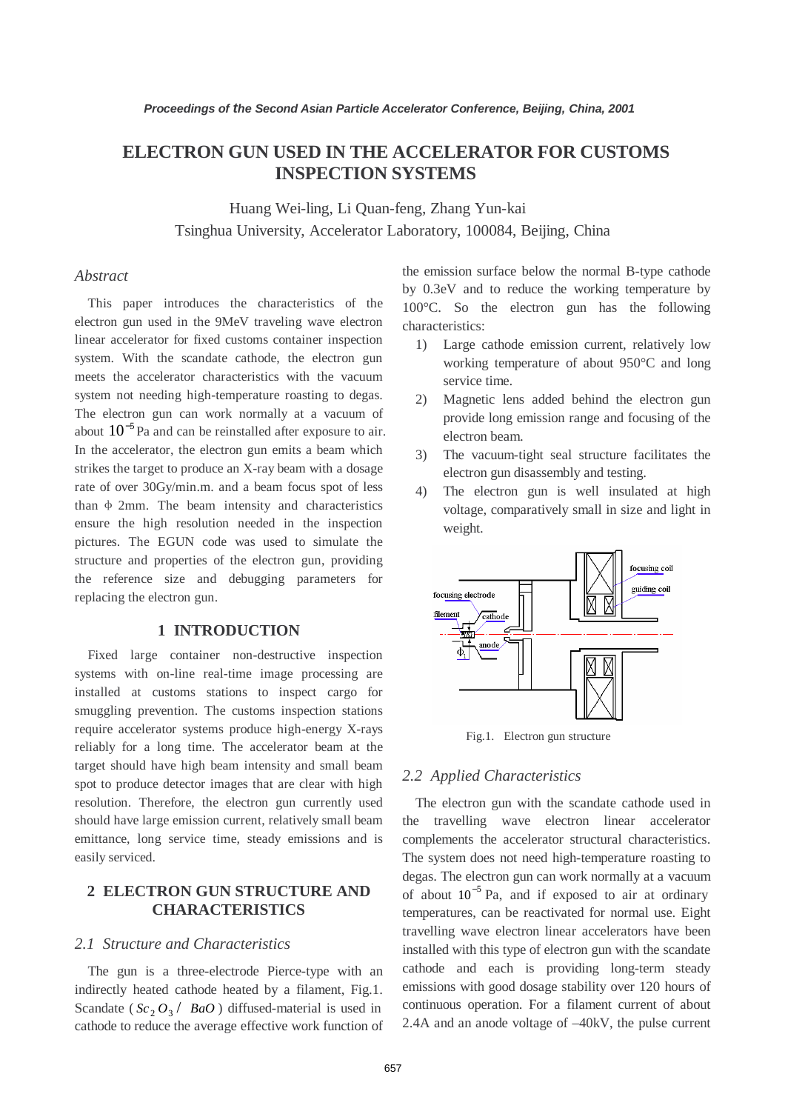# **ELECTRON GUN USED IN THE ACCELERATOR FOR CUSTOMS INSPECTION SYSTEMS**

Huang Wei-ling, Li Quan-feng, Zhang Yun-kai Tsinghua University, Accelerator Laboratory, 100084, Beijing, China

### *Abstract*

This paper introduces the characteristics of the electron gun used in the 9MeV traveling wave electron linear accelerator for fixed customs container inspection system. With the scandate cathode, the electron gun meets the accelerator characteristics with the vacuum system not needing high-temperature roasting to degas. The electron gun can work normally at a vacuum of about  $10^{-5}$  Pa and can be reinstalled after exposure to air. In the accelerator, the electron gun emits a beam which strikes the target to produce an X-ray beam with a dosage rate of over 30Gy/min.m. and a beam focus spot of less than  $\Phi$  2mm. The beam intensity and characteristics ensure the high resolution needed in the inspection pictures. The EGUN code was used to simulate the structure and properties of the electron gun, providing the reference size and debugging parameters for replacing the electron gun.

## **1 INTRODUCTION**

Fixed large container non-destructive inspection systems with on-line real-time image processing are installed at customs stations to inspect cargo for smuggling prevention. The customs inspection stations require accelerator systems produce high-energy X-rays reliably for a long time. The accelerator beam at the target should have high beam intensity and small beam spot to produce detector images that are clear with high resolution. Therefore, the electron gun currently used should have large emission current, relatively small beam emittance, long service time, steady emissions and is easily serviced.

# **2 ELECTRON GUN STRUCTURE AND CHARACTERISTICS**

### *2.1 Structure and Characteristics*

The gun is a three-electrode Pierce-type with an indirectly heated cathode heated by a filament, Fig.1. Scandate ( $Sc_2O_3$  / *BaO*) diffused-material is used in cathode to reduce the average effective work function of the emission surface below the normal B-type cathode by 0.3eV and to reduce the working temperature by 100°C. So the electron gun has the following characteristics:

- 1) Large cathode emission current, relatively low working temperature of about 950°C and long service time.
- 2) Magnetic lens added behind the electron gun provide long emission range and focusing of the electron beam.
- 3) The vacuum-tight seal structure facilitates the electron gun disassembly and testing.
- 4) The electron gun is well insulated at high voltage, comparatively small in size and light in weight.



Fig.1. Electron gun structure

#### *2.2 Applied Characteristics*

The electron gun with the scandate cathode used in the travelling wave electron linear accelerator complements the accelerator structural characteristics. The system does not need high-temperature roasting to degas. The electron gun can work normally at a vacuum of about  $10^{-5}$  Pa, and if exposed to air at ordinary temperatures, can be reactivated for normal use. Eight travelling wave electron linear accelerators have been installed with this type of electron gun with the scandate cathode and each is providing long-term steady emissions with good dosage stability over 120 hours of continuous operation. For a filament current of about 2.4A and an anode voltage of –40kV, the pulse current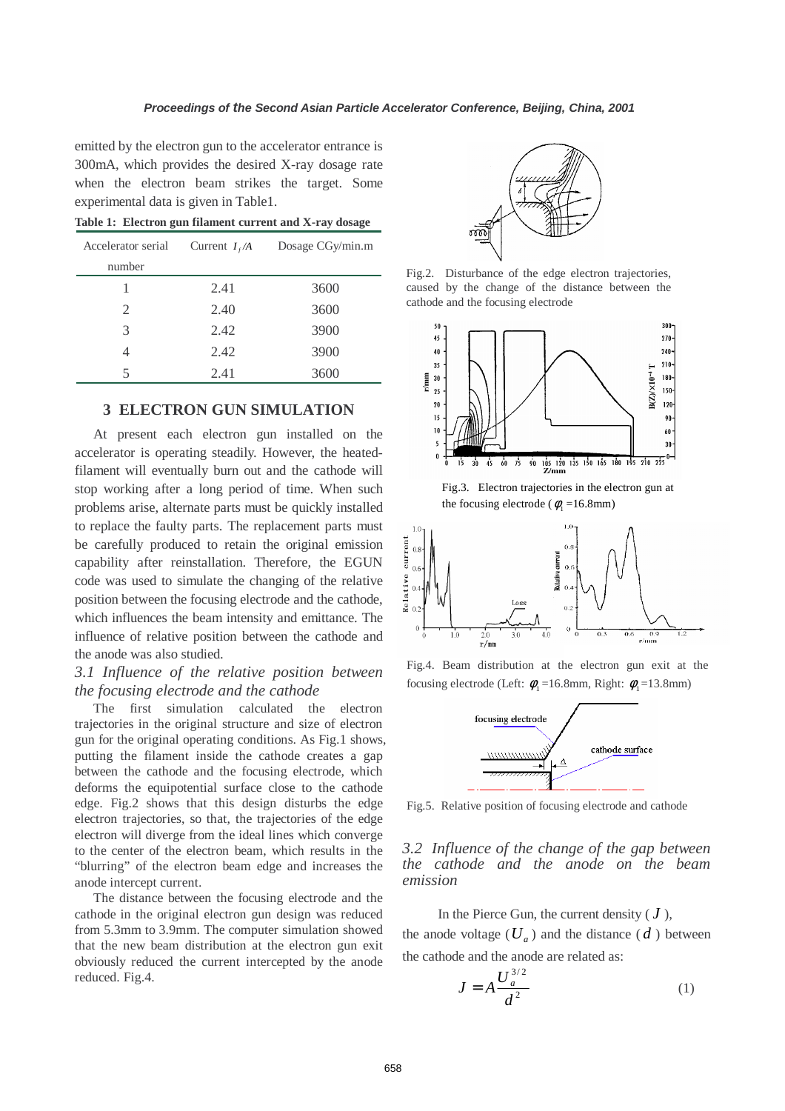emitted by the electron gun to the accelerator entrance is 300mA, which provides the desired X-ray dosage rate when the electron beam strikes the target. Some experimental data is given in Table1.

| Accelerator serial | Current $I_f/A$ | Dosage CGy/min.m |
|--------------------|-----------------|------------------|
| number             |                 |                  |
|                    | 2.41            | 3600             |
| 2                  | 2.40            | 3600             |
| 3                  | 2.42            | 3900             |
| 4                  | 2.42            | 3900             |
| 5                  | 2.41            | 3600             |

**Table 1: Electron gun filament current and X-ray dosage**

# **3 ELECTRON GUN SIMULATION**

At present each electron gun installed on the accelerator is operating steadily. However, the heatedfilament will eventually burn out and the cathode will stop working after a long period of time. When such problems arise, alternate parts must be quickly installed to replace the faulty parts. The replacement parts must be carefully produced to retain the original emission capability after reinstallation. Therefore, the EGUN code was used to simulate the changing of the relative position between the focusing electrode and the cathode, which influences the beam intensity and emittance. The influence of relative position between the cathode and the anode was also studied.

# *3.1 Influence of the relative position between the focusing electrode and the cathode*

The first simulation calculated the electron trajectories in the original structure and size of electron gun for the original operating conditions. As Fig.1 shows, putting the filament inside the cathode creates a gap between the cathode and the focusing electrode, which deforms the equipotential surface close to the cathode edge. Fig.2 shows that this design disturbs the edge electron trajectories, so that, the trajectories of the edge electron will diverge from the ideal lines which converge to the center of the electron beam, which results in the "blurring" of the electron beam edge and increases the anode intercept current.

The distance between the focusing electrode and the cathode in the original electron gun design was reduced from 5.3mm to 3.9mm. The computer simulation showed that the new beam distribution at the electron gun exit obviously reduced the current intercepted by the anode reduced. Fig.4.



Fig.2. Disturbance of the edge electron trajectories, caused by the change of the distance between the cathode and the focusing electrode



Fig.3. Electron trajectories in the electron gun at the focusing electrode ( $\phi$ <sub>1</sub> =16.8mm)



Fig.4. Beam distribution at the electron gun exit at the focusing electrode (Left:  $\phi_1 = 16.8$ mm, Right:  $\phi_1 = 13.8$ mm)



Fig.5. Relative position of focusing electrode and cathode

*3.2 Influence of the change of the gap between the cathode and the anode on the beam emission* 

In the Pierce Gun, the current density  $(J)$ , the anode voltage  $(U_a)$  and the distance  $(d)$  between the cathode and the anode are related as:

$$
J = A \frac{U_a^{3/2}}{d^2} \tag{1}
$$